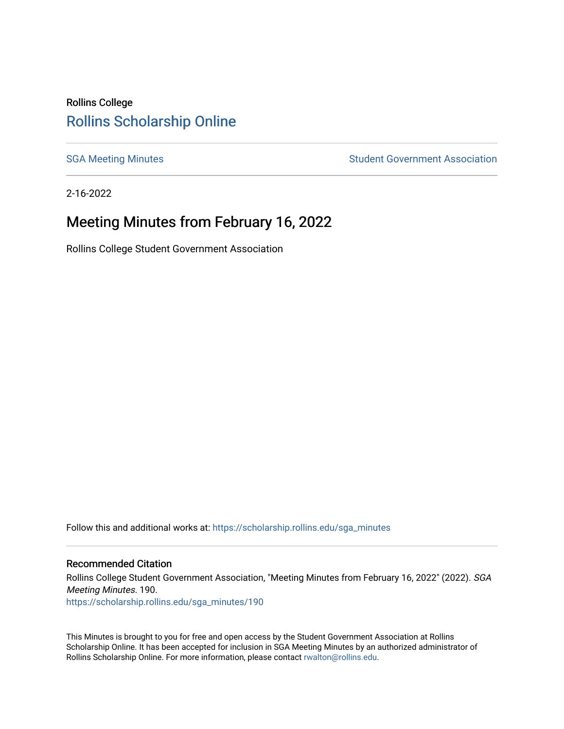## Rollins College [Rollins Scholarship Online](https://scholarship.rollins.edu/)

[SGA Meeting Minutes](https://scholarship.rollins.edu/sga_minutes) **SGA Meeting Minutes** SGA Meeting Minutes **STEER** Student Government Association

2-16-2022

# Meeting Minutes from February 16, 2022

Rollins College Student Government Association

Follow this and additional works at: [https://scholarship.rollins.edu/sga\\_minutes](https://scholarship.rollins.edu/sga_minutes?utm_source=scholarship.rollins.edu%2Fsga_minutes%2F190&utm_medium=PDF&utm_campaign=PDFCoverPages)

#### Recommended Citation

Rollins College Student Government Association, "Meeting Minutes from February 16, 2022" (2022). SGA Meeting Minutes. 190. [https://scholarship.rollins.edu/sga\\_minutes/190](https://scholarship.rollins.edu/sga_minutes/190?utm_source=scholarship.rollins.edu%2Fsga_minutes%2F190&utm_medium=PDF&utm_campaign=PDFCoverPages)

This Minutes is brought to you for free and open access by the Student Government Association at Rollins Scholarship Online. It has been accepted for inclusion in SGA Meeting Minutes by an authorized administrator of Rollins Scholarship Online. For more information, please contact [rwalton@rollins.edu](mailto:rwalton@rollins.edu).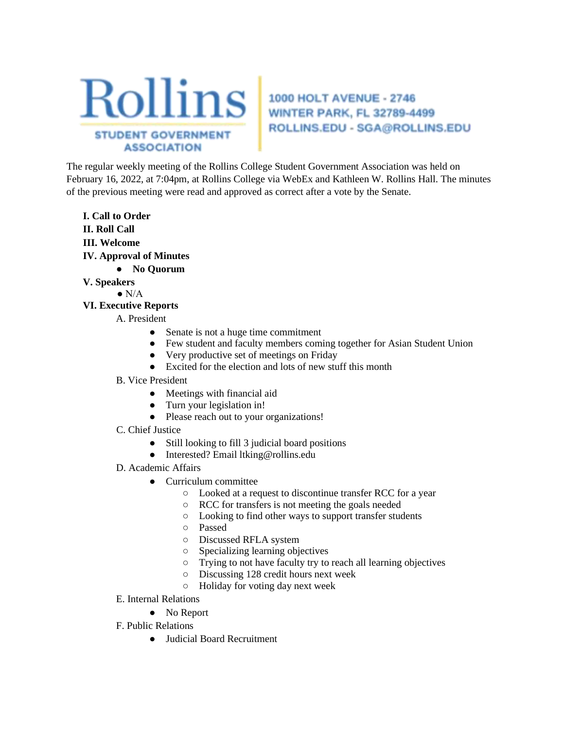

# ROLLINS.EDU - SGA@ROLLINS.EDU

The regular weekly meeting of the Rollins College Student Government Association was held on February 16, 2022, at 7:04pm, at Rollins College via WebEx and Kathleen W. Rollins Hall. The minutes of the previous meeting were read and approved as correct after a vote by the Senate.

- **I. Call to Order II. Roll Call III. Welcome IV. Approval of Minutes** 
	- **No Quorum**
- **V. Speakers** 
	- $\bullet$  N/A
- **VI. Executive Reports** 
	- A. President
		- Senate is not a huge time commitment
		- Few student and faculty members coming together for Asian Student Union
		- Very productive set of meetings on Friday
		- Excited for the election and lots of new stuff this month
	- B. Vice President
		- Meetings with financial aid
		- Turn your legislation in!
		- Please reach out to your organizations!
	- C. Chief Justice
		- Still looking to fill 3 judicial board positions
		- Interested? Email ltking@rollins.edu
	- D. Academic Affairs
		- Curriculum committee
			- Looked at a request to discontinue transfer RCC for a year
			- RCC for transfers is not meeting the goals needed
			- Looking to find other ways to support transfer students
			- Passed
			- Discussed RFLA system
			- Specializing learning objectives
			- Trying to not have faculty try to reach all learning objectives
			- Discussing 128 credit hours next week
			- Holiday for voting day next week
	- E. Internal Relations
		- No Report
	- F. Public Relations
		- Judicial Board Recruitment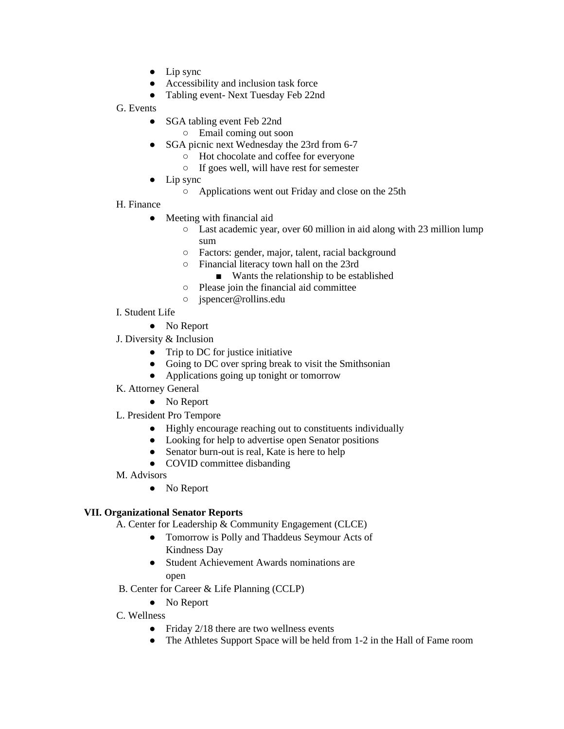- Lip sync
- Accessibility and inclusion task force
- Tabling event- Next Tuesday Feb 22nd
- G. Events
	- SGA tabling event Feb 22nd
		- Email coming out soon
	- SGA picnic next Wednesday the 23rd from 6-7
		- Hot chocolate and coffee for everyone
		- If goes well, will have rest for semester
	- Lip sync
		- Applications went out Friday and close on the 25th
- H. Finance
	- Meeting with financial aid
		- Last academic year, over 60 million in aid along with 23 million lump sum
		- Factors: gender, major, talent, racial background
		- Financial literacy town hall on the 23rd
			- Wants the relationship to be established
		- Please join the financial aid committee
		- jspencer@rollins.edu
- I. Student Life
	- No Report
- J. Diversity & Inclusion
	- Trip to DC for justice initiative
	- Going to DC over spring break to visit the Smithsonian
	- Applications going up tonight or tomorrow
- K. Attorney General
	- No Report
- L. President Pro Tempore
	- Highly encourage reaching out to constituents individually
	- Looking for help to advertise open Senator positions
	- Senator burn-out is real, Kate is here to help
	- COVID committee disbanding
- M. Advisors
	- No Report

## **VII. Organizational Senator Reports**

- A. Center for Leadership & Community Engagement (CLCE)
	- Tomorrow is Polly and Thaddeus Seymour Acts of Kindness Day
	- Student Achievement Awards nominations are open
- B. Center for Career & Life Planning (CCLP)
	- No Report
- C. Wellness
	- Friday  $2/18$  there are two wellness events
	- The Athletes Support Space will be held from 1-2 in the Hall of Fame room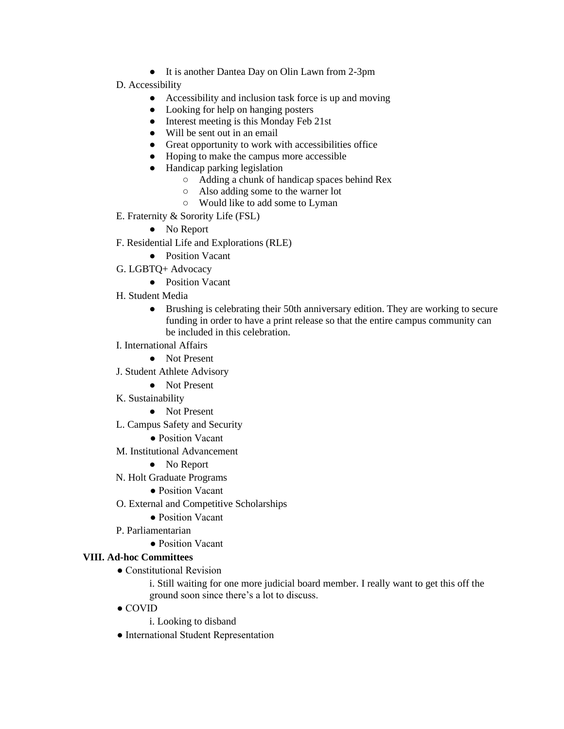- It is another Dantea Day on Olin Lawn from 2-3pm
- D. Accessibility
	- Accessibility and inclusion task force is up and moving
	- Looking for help on hanging posters
	- Interest meeting is this Monday Feb 21st
	- Will be sent out in an email
	- Great opportunity to work with accessibilities office
	- Hoping to make the campus more accessible
	- Handicap parking legislation
		- Adding a chunk of handicap spaces behind Rex
		- Also adding some to the warner lot
		- Would like to add some to Lyman
- E. Fraternity & Sorority Life (FSL)
	- No Report
- F. Residential Life and Explorations (RLE)
	- Position Vacant
- G. LGBTQ+ Advocacy
	- Position Vacant
- H. Student Media
	- Brushing is celebrating their 50th anniversary edition. They are working to secure funding in order to have a print release so that the entire campus community can be included in this celebration.
- I. International Affairs
	- Not Present
- J. Student Athlete Advisory
	- Not Present
- K. Sustainability
	- Not Present
- L. Campus Safety and Security
	- Position Vacant
- M. Institutional Advancement
	- No Report
- N. Holt Graduate Programs
	- Position Vacant
- O. External and Competitive Scholarships
	- Position Vacant
- P. Parliamentarian
	- Position Vacant

#### **VIII. Ad-hoc Committees**

● Constitutional Revision

i. Still waiting for one more judicial board member. I really want to get this off the ground soon since there's a lot to discuss.

- COVID
	- i. Looking to disband
- International Student Representation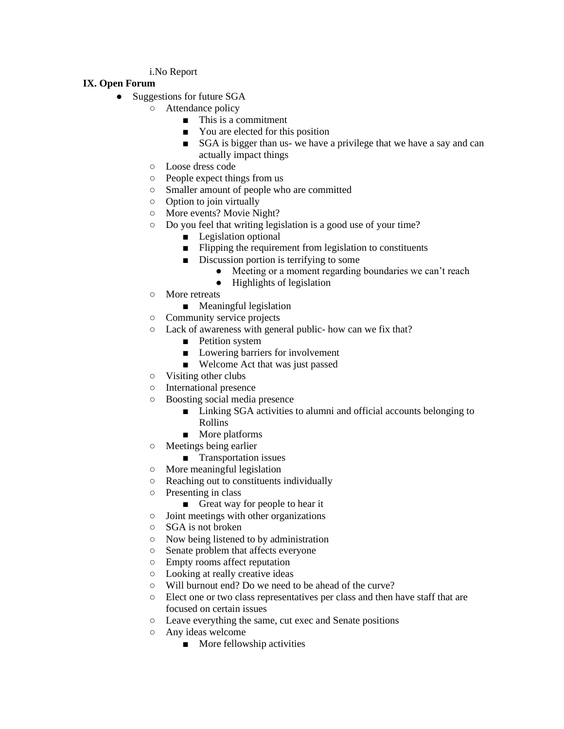#### i.No Report

### **IX. Open Forum**

- Suggestions for future SGA
	- Attendance policy
		- This is a commitment
		- You are elected for this position
		- SGA is bigger than us- we have a privilege that we have a say and can actually impact things
	- Loose dress code
	- People expect things from us
	- Smaller amount of people who are committed
	- Option to join virtually
	- More events? Movie Night?
	- Do you feel that writing legislation is a good use of your time?
		- Legislation optional
		- Flipping the requirement from legislation to constituents
		- Discussion portion is terrifying to some
			- Meeting or a moment regarding boundaries we can't reach
			- Highlights of legislation
	- More retreats
		- Meaningful legislation
	- Community service projects
	- Lack of awareness with general public- how can we fix that?
		- Petition system
		- Lowering barriers for involvement
		- Welcome Act that was just passed
	- Visiting other clubs
	- International presence
	- Boosting social media presence
		- Linking SGA activities to alumni and official accounts belonging to Rollins
		- More platforms
	- Meetings being earlier
		- Transportation issues
	- More meaningful legislation
	- Reaching out to constituents individually
	- Presenting in class
		- Great way for people to hear it
	- Joint meetings with other organizations
	- SGA is not broken
	- Now being listened to by administration
	- Senate problem that affects everyone
	- Empty rooms affect reputation
	- Looking at really creative ideas
	- Will burnout end? Do we need to be ahead of the curve?
	- Elect one or two class representatives per class and then have staff that are focused on certain issues
	- Leave everything the same, cut exec and Senate positions
	- Any ideas welcome
		- More fellowship activities